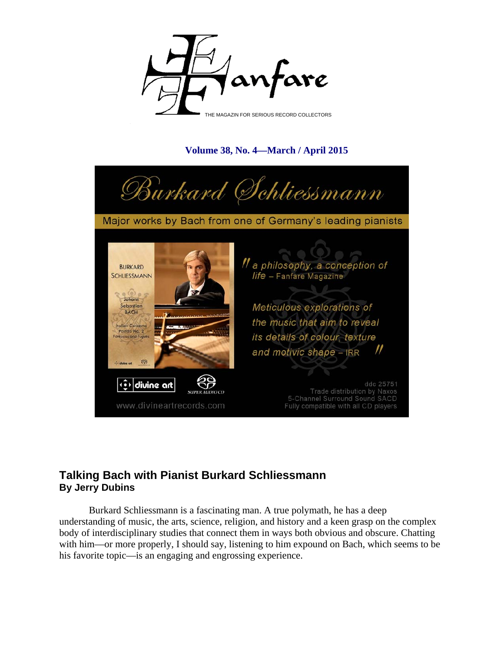

## **Volume 38, No. 4—March / April 2015**



Major works by Bach from one of Germany's leading pianists



## **Talking Bach with Pianist Burkard Schliessmann By Jerry Dubins**

Burkard Schliessmann is a fascinating man. A true polymath, he has a deep understanding of music, the arts, science, religion, and history and a keen grasp on the complex body of interdisciplinary studies that connect them in ways both obvious and obscure. Chatting with him—or more properly, I should say, listening to him expound on Bach, which seems to be his favorite topic—is an engaging and engrossing experience.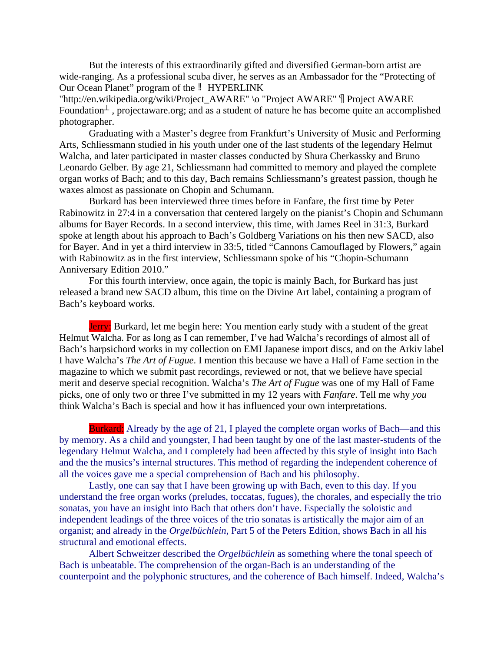But the interests of this extraordinarily gifted and diversified German-born artist are wide-ranging. As a professional scuba diver, he serves as an Ambassador for the "Protecting of Our Ocean Planet" program of the  $\parallel$  HYPERLINK

"http://en.wikipedia.org/wiki/Project\_AWARE" \o "Project AWARE" \[ Project AWARE Foundation<sup> $\perp$ </sup>, projectaware.org; and as a student of nature he has become quite an accomplished photographer.

Graduating with a Master's degree from Frankfurt's University of Music and Performing Arts, Schliessmann studied in his youth under one of the last students of the legendary Helmut Walcha, and later participated in master classes conducted by Shura Cherkassky and Bruno Leonardo Gelber. By age 21, Schliessmann had committed to memory and played the complete organ works of Bach; and to this day, Bach remains Schliessmann's greatest passion, though he waxes almost as passionate on Chopin and Schumann.

Burkard has been interviewed three times before in Fanfare, the first time by Peter Rabinowitz in 27:4 in a conversation that centered largely on the pianist's Chopin and Schumann albums for Bayer Records. In a second interview, this time, with James Reel in 31:3, Burkard spoke at length about his approach to Bach's Goldberg Variations on his then new SACD, also for Bayer. And in yet a third interview in 33:5, titled "Cannons Camouflaged by Flowers," again with Rabinowitz as in the first interview, Schliessmann spoke of his "Chopin-Schumann Anniversary Edition 2010."

For this fourth interview, once again, the topic is mainly Bach, for Burkard has just released a brand new SACD album, this time on the Divine Art label, containing a program of Bach's keyboard works.

Jerry: Burkard, let me begin here: You mention early study with a student of the great Helmut Walcha. For as long as I can remember, I've had Walcha's recordings of almost all of Bach's harpsichord works in my collection on EMI Japanese import discs, and on the Arkiv label I have Walcha's *The Art of Fugue*. I mention this because we have a Hall of Fame section in the magazine to which we submit past recordings, reviewed or not, that we believe have special merit and deserve special recognition. Walcha's *The Art of Fugue* was one of my Hall of Fame picks, one of only two or three I've submitted in my 12 years with *Fanfare*. Tell me why *you* think Walcha's Bach is special and how it has influenced your own interpretations.

Burkard: Already by the age of 21, I played the complete organ works of Bach—and this by memory. As a child and youngster, I had been taught by one of the last master-students of the legendary Helmut Walcha, and I completely had been affected by this style of insight into Bach and the the musics's internal structures. This method of regarding the independent coherence of all the voices gave me a special comprehension of Bach and his philosophy.

Lastly, one can say that I have been growing up with Bach, even to this day. If you understand the free organ works (preludes, toccatas, fugues), the chorales, and especially the trio sonatas, you have an insight into Bach that others don't have. Especially the soloistic and independent leadings of the three voices of the trio sonatas is artistically the major aim of an organist; and already in the *Orgelbüchlein*, Part 5 of the Peters Edition, shows Bach in all his structural and emotional effects.

Albert Schweitzer described the *Orgelbüchlein* as something where the tonal speech of Bach is unbeatable. The comprehension of the organ-Bach is an understanding of the counterpoint and the polyphonic structures, and the coherence of Bach himself. Indeed, Walcha's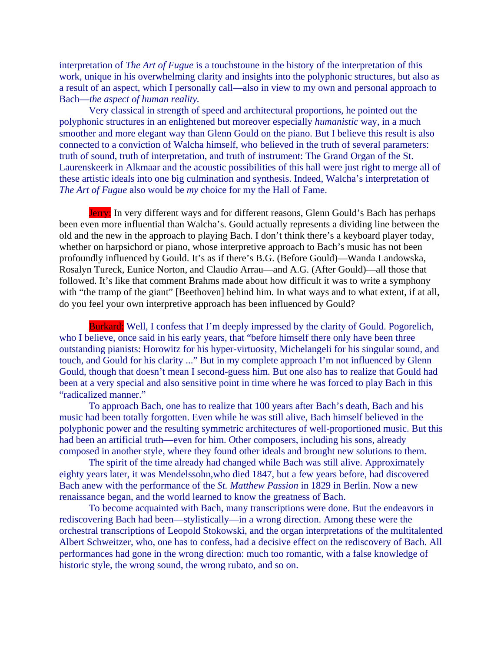interpretation of *The Art of Fugue* is a touchstoune in the history of the interpretation of this work, unique in his overwhelming clarity and insights into the polyphonic structures, but also as a result of an aspect, which I personally call—also in view to my own and personal approach to Bach—*the aspect of human reality.*

Very classical in strength of speed and architectural proportions, he pointed out the polyphonic structures in an enlightened but moreover especially *humanistic* way, in a much smoother and more elegant way than Glenn Gould on the piano. But I believe this result is also connected to a conviction of Walcha himself, who believed in the truth of several parameters: truth of sound, truth of interpretation, and truth of instrument: The Grand Organ of the St. Laurenskeerk in Alkmaar and the acoustic possibilities of this hall were just right to merge all of these artistic ideals into one big culmination and synthesis. Indeed, Walcha's interpretation of *The Art of Fugue* also would be *my* choice for my the Hall of Fame.

Jerry: In very different ways and for different reasons, Glenn Gould's Bach has perhaps been even more influential than Walcha's. Gould actually represents a dividing line between the old and the new in the approach to playing Bach. I don't think there's a keyboard player today, whether on harpsichord or piano, whose interpretive approach to Bach's music has not been profoundly influenced by Gould. It's as if there's B.G. (Before Gould)—Wanda Landowska, Rosalyn Tureck, Eunice Norton, and Claudio Arrau—and A.G. (After Gould)—all those that followed. It's like that comment Brahms made about how difficult it was to write a symphony with "the tramp of the giant" [Beethoven] behind him. In what ways and to what extent, if at all, do you feel your own interpretive approach has been influenced by Gould?

Burkard: Well, I confess that I'm deeply impressed by the clarity of Gould. Pogorelich, who I believe, once said in his early years, that "before himself there only have been three outstanding pianists: Horowitz for his hyper-virtuosity, Michelangeli for his singular sound, and touch, and Gould for his clarity ..." But in my complete approach I'm not influenced by Glenn Gould, though that doesn't mean I second-guess him. But one also has to realize that Gould had been at a very special and also sensitive point in time where he was forced to play Bach in this "radicalized manner."

To approach Bach, one has to realize that 100 years after Bach's death, Bach and his music had been totally forgotten. Even while he was still alive, Bach himself believed in the polyphonic power and the resulting symmetric architectures of well-proportioned music. But this had been an artificial truth—even for him. Other composers, including his sons, already composed in another style, where they found other ideals and brought new solutions to them.

The spirit of the time already had changed while Bach was still alive. Approximately eighty years later, it was Mendelssohn,who died 1847, but a few years before, had discovered Bach anew with the performance of the *St. Matthew Passion* in 1829 in Berlin. Now a new renaissance began, and the world learned to know the greatness of Bach.

To become acquainted with Bach, many transcriptions were done. But the endeavors in rediscovering Bach had been—stylistically—in a wrong direction. Among these were the orchestral transcriptions of Leopold Stokowski, and the organ interpretations of the multitalented Albert Schweitzer, who, one has to confess, had a decisive effect on the rediscovery of Bach. All performances had gone in the wrong direction: much too romantic, with a false knowledge of historic style, the wrong sound, the wrong rubato, and so on.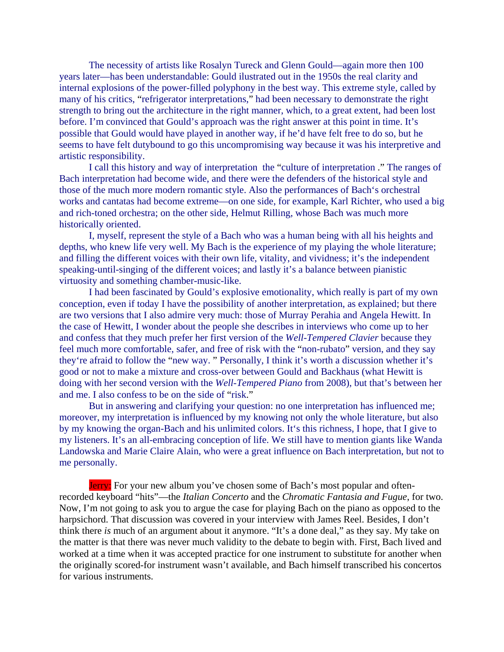The necessity of artists like Rosalyn Tureck and Glenn Gould—again more then 100 years later—has been understandable: Gould ilustrated out in the 1950s the real clarity and internal explosions of the power-filled polyphony in the best way. This extreme style, called by many of his critics, "refrigerator interpretations," had been necessary to demonstrate the right strength to bring out the architecture in the right manner, which, to a great extent, had been lost before. I'm convinced that Gould's approach was the right answer at this point in time. It's possible that Gould would have played in another way, if he'd have felt free to do so, but he seems to have felt dutybound to go this uncompromising way because it was his interpretive and artistic responsibility.

I call this history and way of interpretation the "culture of interpretation ." The ranges of Bach interpretation had become wide, and there were the defenders of the historical style and those of the much more modern romantic style. Also the performances of Bach's orchestral works and cantatas had become extreme—on one side, for example, Karl Richter, who used a big and rich-toned orchestra; on the other side, Helmut Rilling, whose Bach was much more historically oriented.

I, myself, represent the style of a Bach who was a human being with all his heights and depths, who knew life very well. My Bach is the experience of my playing the whole literature; and filling the different voices with their own life, vitality, and vividness; it's the independent speaking-until-singing of the different voices; and lastly it's a balance between pianistic virtuosity and something chamber-music-like.

I had been fascinated by Gould's explosive emotionality, which really is part of my own conception, even if today I have the possibility of another interpretation, as explained; but there are two versions that I also admire very much: those of Murray Perahia and Angela Hewitt. In the case of Hewitt, I wonder about the people she describes in interviews who come up to her and confess that they much prefer her first version of the *Well-Tempered Clavier* because they feel much more comfortable, safer, and free of risk with the "non-rubato" version, and they say they're afraid to follow the "new way. " Personally, I think it's worth a discussion whether it's good or not to make a mixture and cross-over between Gould and Backhaus (what Hewitt is doing with her second version with the *Well-Tempered Piano* from 2008), but that's between her and me. I also confess to be on the side of "risk."

But in answering and clarifying your question: no one interpretation has influenced me; moreover, my interpretation is influenced by my knowing not only the whole literature, but also by my knowing the organ-Bach and his unlimited colors. It's this richness, I hope, that I give to my listeners. It's an all-embracing conception of life. We still have to mention giants like Wanda Landowska and Marie Claire Alain, who were a great influence on Bach interpretation, but not to me personally.

Jerry: For your new album you've chosen some of Bach's most popular and oftenrecorded keyboard "hits"—the *Italian Concerto* and the *Chromatic Fantasia and Fugue*, for two. Now, I'm not going to ask you to argue the case for playing Bach on the piano as opposed to the harpsichord. That discussion was covered in your interview with James Reel. Besides, I don't think there *is* much of an argument about it anymore. "It's a done deal," as they say. My take on the matter is that there was never much validity to the debate to begin with. First, Bach lived and worked at a time when it was accepted practice for one instrument to substitute for another when the originally scored-for instrument wasn't available, and Bach himself transcribed his concertos for various instruments.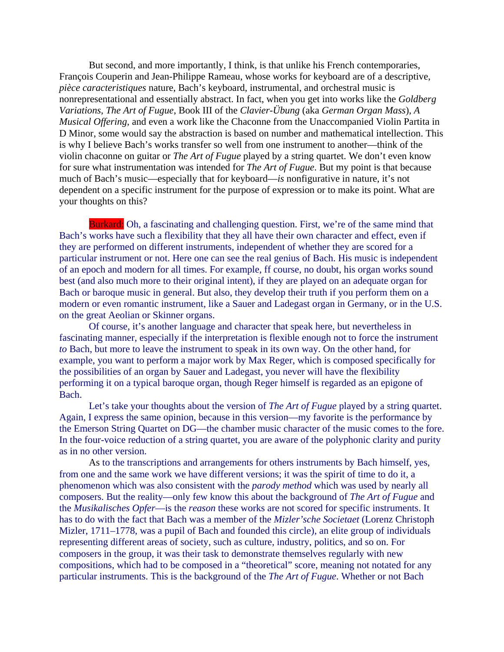But second, and more importantly, I think, is that unlike his French contemporaries, François Couperin and Jean-Philippe Rameau, whose works for keyboard are of a descriptive, *pièce caracteristiques* nature, Bach's keyboard, instrumental, and orchestral music is nonrepresentational and essentially abstract. In fact, when you get into works like the *Goldberg Variations*, *The Art of Fugue*, Book III of the *Clavier-Übung* (aka *German Organ Mass*), *A Musical Offering*, and even a work like the Chaconne from the Unaccompanied Violin Partita in D Minor, some would say the abstraction is based on number and mathematical intellection. This is why I believe Bach's works transfer so well from one instrument to another—think of the violin chaconne on guitar or *The Art of Fugue* played by a string quartet. We don't even know for sure what instrumentation was intended for *The Art of Fugue*. But my point is that because much of Bach's music—especially that for keyboard—*is* nonfigurative in nature, it's not dependent on a specific instrument for the purpose of expression or to make its point. What are your thoughts on this?

Burkard: Oh, a fascinating and challenging question. First, we're of the same mind that Bach's works have such a flexibility that they all have their own character and effect, even if they are performed on different instruments, independent of whether they are scored for a particular instrument or not. Here one can see the real genius of Bach. His music is independent of an epoch and modern for all times. For example, ff course, no doubt, his organ works sound best (and also much more to their original intent), if they are played on an adequate organ for Bach or baroque music in general. But also, they develop their truth if you perform them on a modern or even romantic instrument, like a Sauer and Ladegast organ in Germany, or in the U.S. on the great Aeolian or Skinner organs.

Of course, it's another language and character that speak here, but nevertheless in fascinating manner, especially if the interpretation is flexible enough not to force the instrument *to* Bach, but more to leave the instrument to speak in its own way. On the other hand, for example, you want to perform a major work by Max Reger, which is composed specifically for the possibilities of an organ by Sauer and Ladegast, you never will have the flexibility performing it on a typical baroque organ, though Reger himself is regarded as an epigone of Bach.

Let's take your thoughts about the version of *The Art of Fugue* played by a string quartet. Again, I express the same opinion, because in this version—my favorite is the performance by the Emerson String Quartet on DG—the chamber music character of the music comes to the fore. In the four-voice reduction of a string quartet, you are aware of the polyphonic clarity and purity as in no other version.

As to the transcriptions and arrangements for others instruments by Bach himself, yes, from one and the same work we have different versions; it was the spirit of time to do it, a phenomenon which was also consistent with the *parody method* which was used by nearly all composers. But the reality—only few know this about the background of *The Art of Fugue* and the *Musikalisches Opfer*—is the *reason* these works are not scored for specific instruments. It has to do with the fact that Bach was a member of the *Mizler'sche Societaet* (Lorenz Christoph Mizler, 1711–1778, was a pupil of Bach and founded this circle)*,* an elite group of individuals representing different areas of society, such as culture, industry, politics, and so on. For composers in the group, it was their task to demonstrate themselves regularly with new compositions, which had to be composed in a "theoretical" score, meaning not notated for any particular instruments. This is the background of the *The Art of Fugue*. Whether or not Bach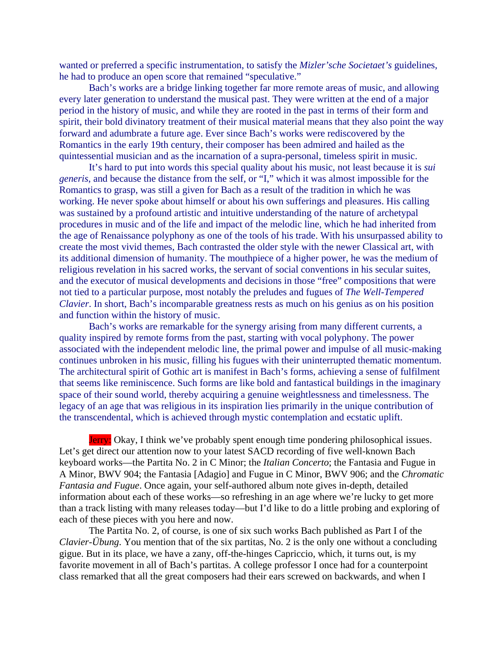wanted or preferred a specific instrumentation, to satisfy the *Mizler'sche Societaet's* guidelines, he had to produce an open score that remained "speculative."

Bach's works are a bridge linking together far more remote areas of music, and allowing every later generation to understand the musical past. They were written at the end of a major period in the history of music, and while they are rooted in the past in terms of their form and spirit, their bold divinatory treatment of their musical material means that they also point the way forward and adumbrate a future age. Ever since Bach's works were rediscovered by the Romantics in the early 19th century, their composer has been admired and hailed as the quintessential musician and as the incarnation of a supra-personal, timeless spirit in music.

It's hard to put into words this special quality about his music, not least because it is *sui generis*, and because the distance from the self, or "I," which it was almost impossible for the Romantics to grasp, was still a given for Bach as a result of the tradition in which he was working. He never spoke about himself or about his own sufferings and pleasures. His calling was sustained by a profound artistic and intuitive understanding of the nature of archetypal procedures in music and of the life and impact of the melodic line, which he had inherited from the age of Renaissance polyphony as one of the tools of his trade. With his unsurpassed ability to create the most vivid themes, Bach contrasted the older style with the newer Classical art, with its additional dimension of humanity. The mouthpiece of a higher power, he was the medium of religious revelation in his sacred works, the servant of social conventions in his secular suites, and the executor of musical developments and decisions in those "free" compositions that were not tied to a particular purpose, most notably the preludes and fugues of *The Well-Tempered Clavier*. In short, Bach's incomparable greatness rests as much on his genius as on his position and function within the history of music.

Bach's works are remarkable for the synergy arising from many different currents, a quality inspired by remote forms from the past, starting with vocal polyphony. The power associated with the independent melodic line, the primal power and impulse of all music-making continues unbroken in his music, filling his fugues with their uninterrupted thematic momentum. The architectural spirit of Gothic art is manifest in Bach's forms, achieving a sense of fulfilment that seems like reminiscence. Such forms are like bold and fantastical buildings in the imaginary space of their sound world, thereby acquiring a genuine weightlessness and timelessness. The legacy of an age that was religious in its inspiration lies primarily in the unique contribution of the transcendental, which is achieved through mystic contemplation and ecstatic uplift.

Jerry: Okay, I think we've probably spent enough time pondering philosophical issues. Let's get direct our attention now to your latest SACD recording of five well-known Bach keyboard works—the Partita No. 2 in C Minor; the *Italian Concerto*; the Fantasia and Fugue in A Minor, BWV 904; the Fantasia [Adagio] and Fugue in C Minor, BWV 906; and the *Chromatic Fantasia and Fugue*. Once again, your self-authored album note gives in-depth, detailed information about each of these works—so refreshing in an age where we're lucky to get more than a track listing with many releases today—but I'd like to do a little probing and exploring of each of these pieces with you here and now.

The Partita No. 2, of course, is one of six such works Bach published as Part I of the *Clavier-Übung*. You mention that of the six partitas, No. 2 is the only one without a concluding gigue. But in its place, we have a zany, off-the-hinges Capriccio, which, it turns out, is my favorite movement in all of Bach's partitas. A college professor I once had for a counterpoint class remarked that all the great composers had their ears screwed on backwards, and when I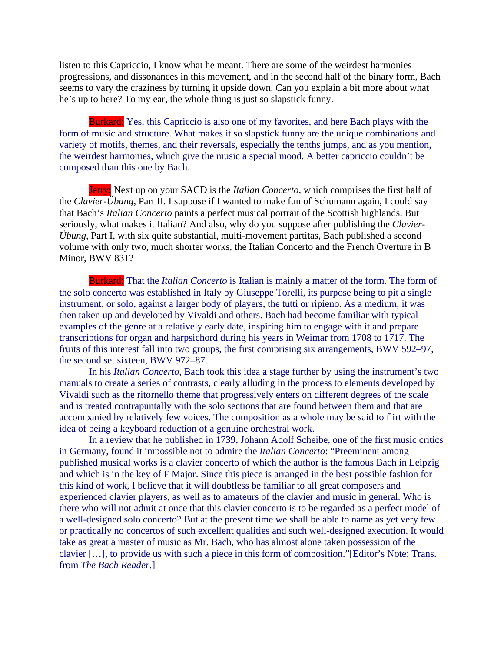listen to this Capriccio, I know what he meant. There are some of the weirdest harmonies progressions, and dissonances in this movement, and in the second half of the binary form, Bach seems to vary the craziness by turning it upside down. Can you explain a bit more about what he's up to here? To my ear, the whole thing is just so slapstick funny.

Burkard: Yes, this Capriccio is also one of my favorites, and here Bach plays with the form of music and structure. What makes it so slapstick funny are the unique combinations and variety of motifs, themes, and their reversals, especially the tenths jumps, and as you mention, the weirdest harmonies, which give the music a special mood. A better capriccio couldn't be composed than this one by Bach.

Jerry: Next up on your SACD is the *Italian Concerto*, which comprises the first half of the *Clavier-Übung*, Part II. I suppose if I wanted to make fun of Schumann again, I could say that Bach's *Italian Concerto* paints a perfect musical portrait of the Scottish highlands. But seriously, what makes it Italian? And also, why do you suppose after publishing the *Clavier-Übung*, Part I, with six quite substantial, multi-movement partitas, Bach published a second volume with only two, much shorter works, the Italian Concerto and the French Overture in B Minor, BWV 831?

Burkard: That the *Italian Concerto* is Italian is mainly a matter of the form. The form of the solo concerto was established in Italy by Giuseppe Torelli, its purpose being to pit a single instrument, or solo, against a larger body of players, the tutti or ripieno. As a medium, it was then taken up and developed by Vivaldi and others. Bach had become familiar with typical examples of the genre at a relatively early date, inspiring him to engage with it and prepare transcriptions for organ and harpsichord during his years in Weimar from 1708 to 1717. The fruits of this interest fall into two groups, the first comprising six arrangements, BWV 592–97, the second set sixteen, BWV 972–87.

In his *Italian Concerto*, Bach took this idea a stage further by using the instrument's two manuals to create a series of contrasts, clearly alluding in the process to elements developed by Vivaldi such as the ritornello theme that progressively enters on different degrees of the scale and is treated contrapuntally with the solo sections that are found between them and that are accompanied by relatively few voices. The composition as a whole may be said to flirt with the idea of being a keyboard reduction of a genuine orchestral work.

In a review that he published in 1739, Johann Adolf Scheibe, one of the first music critics in Germany, found it impossible not to admire the *Italian Concerto*: "Preeminent among published musical works is a clavier concerto of which the author is the famous Bach in Leipzig and which is in the key of F Major. Since this piece is arranged in the best possible fashion for this kind of work, I believe that it will doubtless be familiar to all great composers and experienced clavier players, as well as to amateurs of the clavier and music in general. Who is there who will not admit at once that this clavier concerto is to be regarded as a perfect model of a well-designed solo concerto? But at the present time we shall be able to name as yet very few or practically no concertos of such excellent qualities and such well-designed execution. It would take as great a master of music as Mr. Bach, who has almost alone taken possession of the clavier […], to provide us with such a piece in this form of composition."[Editor's Note: Trans. from *The Bach Reader*.]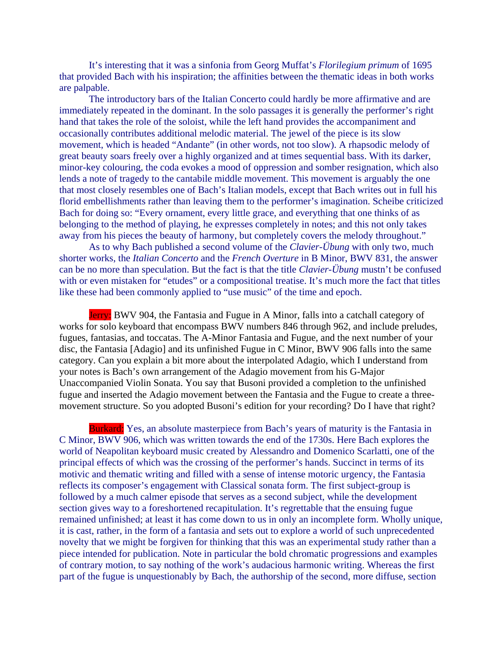It's interesting that it was a sinfonia from Georg Muffat's *Florilegium primum* of 1695 that provided Bach with his inspiration; the affinities between the thematic ideas in both works are palpable.

The introductory bars of the Italian Concerto could hardly be more affirmative and are immediately repeated in the dominant. In the solo passages it is generally the performer's right hand that takes the role of the soloist, while the left hand provides the accompaniment and occasionally contributes additional melodic material. The jewel of the piece is its slow movement, which is headed "Andante" (in other words, not too slow). A rhapsodic melody of great beauty soars freely over a highly organized and at times sequential bass. With its darker, minor-key colouring, the coda evokes a mood of oppression and somber resignation, which also lends a note of tragedy to the cantabile middle movement. This movement is arguably the one that most closely resembles one of Bach's Italian models, except that Bach writes out in full his florid embellishments rather than leaving them to the performer's imagination. Scheibe criticized Bach for doing so: "Every ornament, every little grace, and everything that one thinks of as belonging to the method of playing, he expresses completely in notes; and this not only takes away from his pieces the beauty of harmony, but completely covers the melody throughout."

As to why Bach published a second volume of the *Clavier-Übung* with only two, much shorter works, the *Italian Concerto* and the *French Overture* in B Minor, BWV 831, the answer can be no more than speculation. But the fact is that the title *Clavier-Übung* mustn't be confused with or even mistaken for "etudes" or a compositional treatise. It's much more the fact that titles like these had been commonly applied to "use music" of the time and epoch.

Jerry: BWV 904, the Fantasia and Fugue in A Minor, falls into a catchall category of works for solo keyboard that encompass BWV numbers 846 through 962, and include preludes, fugues, fantasias, and toccatas. The A-Minor Fantasia and Fugue, and the next number of your disc, the Fantasia [Adagio] and its unfinished Fugue in C Minor, BWV 906 falls into the same category. Can you explain a bit more about the interpolated Adagio, which I understand from your notes is Bach's own arrangement of the Adagio movement from his G-Major Unaccompanied Violin Sonata. You say that Busoni provided a completion to the unfinished fugue and inserted the Adagio movement between the Fantasia and the Fugue to create a threemovement structure. So you adopted Busoni's edition for your recording? Do I have that right?

Burkard: Yes, an absolute masterpiece from Bach's years of maturity is the Fantasia in C Minor, BWV 906, which was written towards the end of the 1730s. Here Bach explores the world of Neapolitan keyboard music created by Alessandro and Domenico Scarlatti, one of the principal effects of which was the crossing of the performer's hands. Succinct in terms of its motivic and thematic writing and filled with a sense of intense motoric urgency, the Fantasia reflects its composer's engagement with Classical sonata form. The first subject-group is followed by a much calmer episode that serves as a second subject, while the development section gives way to a foreshortened recapitulation. It's regrettable that the ensuing fugue remained unfinished; at least it has come down to us in only an incomplete form. Wholly unique, it is cast, rather, in the form of a fantasia and sets out to explore a world of such unprecedented novelty that we might be forgiven for thinking that this was an experimental study rather than a piece intended for publication. Note in particular the bold chromatic progressions and examples of contrary motion, to say nothing of the work's audacious harmonic writing. Whereas the first part of the fugue is unquestionably by Bach, the authorship of the second, more diffuse, section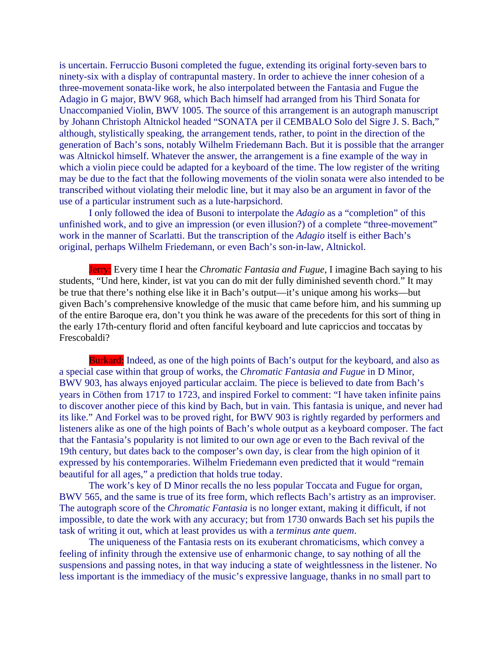is uncertain. Ferruccio Busoni completed the fugue, extending its original forty-seven bars to ninety-six with a display of contrapuntal mastery. In order to achieve the inner cohesion of a three-movement sonata-like work, he also interpolated between the Fantasia and Fugue the Adagio in G major, BWV 968, which Bach himself had arranged from his Third Sonata for Unaccompanied Violin, BWV 1005. The source of this arrangement is an autograph manuscript by Johann Christoph Altnickol headed "SONATA per il CEMBALO Solo del Sigre J. S. Bach," although, stylistically speaking, the arrangement tends, rather, to point in the direction of the generation of Bach's sons, notably Wilhelm Friedemann Bach. But it is possible that the arranger was Altnickol himself. Whatever the answer, the arrangement is a fine example of the way in which a violin piece could be adapted for a keyboard of the time. The low register of the writing may be due to the fact that the following movements of the violin sonata were also intended to be transcribed without violating their melodic line, but it may also be an argument in favor of the use of a particular instrument such as a lute-harpsichord.

I only followed the idea of Busoni to interpolate the *Adagio* as a "completion" of this unfinished work, and to give an impression (or even illusion?) of a complete "three-movement" work in the manner of Scarlatti. But the transcription of the *Adagio* itself is either Bach's original, perhaps Wilhelm Friedemann, or even Bach's son-in-law, Altnickol.

Jerry: Every time I hear the *Chromatic Fantasia and Fugue*, I imagine Bach saying to his students, "Und here, kinder, ist vat you can do mit der fully diminished seventh chord." It may be true that there's nothing else like it in Bach's output—it's unique among his works—but given Bach's comprehensive knowledge of the music that came before him, and his summing up of the entire Baroque era, don't you think he was aware of the precedents for this sort of thing in the early 17th-century florid and often fanciful keyboard and lute capriccios and toccatas by Frescobaldi?

Burkard: Indeed, as one of the high points of Bach's output for the keyboard, and also as a special case within that group of works, the *Chromatic Fantasia and Fugue* in D Minor, BWV 903, has always enjoyed particular acclaim. The piece is believed to date from Bach's years in Cöthen from 1717 to 1723, and inspired Forkel to comment: "I have taken infinite pains to discover another piece of this kind by Bach, but in vain. This fantasia is unique, and never had its like." And Forkel was to be proved right, for BWV 903 is rightly regarded by performers and listeners alike as one of the high points of Bach's whole output as a keyboard composer. The fact that the Fantasia's popularity is not limited to our own age or even to the Bach revival of the 19th century, but dates back to the composer's own day, is clear from the high opinion of it expressed by his contemporaries. Wilhelm Friedemann even predicted that it would "remain beautiful for all ages," a prediction that holds true today.

The work's key of D Minor recalls the no less popular Toccata and Fugue for organ, BWV 565, and the same is true of its free form, which reflects Bach's artistry as an improviser. The autograph score of the *Chromatic Fantasia* is no longer extant, making it difficult, if not impossible, to date the work with any accuracy; but from 1730 onwards Bach set his pupils the task of writing it out, which at least provides us with a *terminus ante quem*.

The uniqueness of the Fantasia rests on its exuberant chromaticisms, which convey a feeling of infinity through the extensive use of enharmonic change, to say nothing of all the suspensions and passing notes, in that way inducing a state of weightlessness in the listener. No less important is the immediacy of the music's expressive language, thanks in no small part to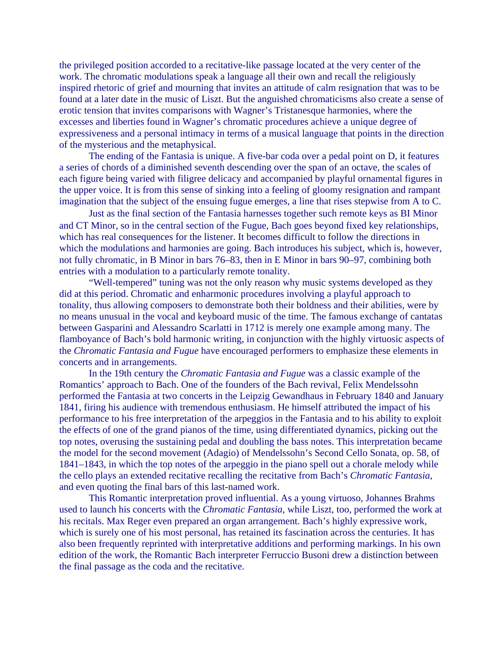the privileged position accorded to a recitative-like passage located at the very center of the work. The chromatic modulations speak a language all their own and recall the religiously inspired rhetoric of grief and mourning that invites an attitude of calm resignation that was to be found at a later date in the music of Liszt. But the anguished chromaticisms also create a sense of erotic tension that invites comparisons with Wagner's Tristanesque harmonies, where the excesses and liberties found in Wagner's chromatic procedures achieve a unique degree of expressiveness and a personal intimacy in terms of a musical language that points in the direction of the mysterious and the metaphysical.

The ending of the Fantasia is unique. A five-bar coda over a pedal point on D, it features a series of chords of a diminished seventh descending over the span of an octave, the scales of each figure being varied with filigree delicacy and accompanied by playful ornamental figures in the upper voice. It is from this sense of sinking into a feeling of gloomy resignation and rampant imagination that the subject of the ensuing fugue emerges, a line that rises stepwise from A to C.

Just as the final section of the Fantasia harnesses together such remote keys as BΙ Minor and CΤ Minor, so in the central section of the Fugue, Bach goes beyond fixed key relationships, which has real consequences for the listener. It becomes difficult to follow the directions in which the modulations and harmonies are going. Bach introduces his subject, which is, however, not fully chromatic, in B Minor in bars 76–83, then in E Minor in bars 90–97, combining both entries with a modulation to a particularly remote tonality.

"Well-tempered" tuning was not the only reason why music systems developed as they did at this period. Chromatic and enharmonic procedures involving a playful approach to tonality, thus allowing composers to demonstrate both their boldness and their abilities, were by no means unusual in the vocal and keyboard music of the time. The famous exchange of cantatas between Gasparini and Alessandro Scarlatti in 1712 is merely one example among many. The flamboyance of Bach's bold harmonic writing, in conjunction with the highly virtuosic aspects of the *Chromatic Fantasia and Fugue* have encouraged performers to emphasize these elements in concerts and in arrangements.

In the 19th century the *Chromatic Fantasia and Fugue* was a classic example of the Romantics' approach to Bach. One of the founders of the Bach revival, Felix Mendelssohn performed the Fantasia at two concerts in the Leipzig Gewandhaus in February 1840 and January 1841, firing his audience with tremendous enthusiasm. He himself attributed the impact of his performance to his free interpretation of the arpeggios in the Fantasia and to his ability to exploit the effects of one of the grand pianos of the time, using differentiated dynamics, picking out the top notes, overusing the sustaining pedal and doubling the bass notes. This interpretation became the model for the second movement (Adagio) of Mendelssohn's Second Cello Sonata, op. 58, of 1841–1843, in which the top notes of the arpeggio in the piano spell out a chorale melody while the cello plays an extended recitative recalling the recitative from Bach's *Chromatic Fantasia*, and even quoting the final bars of this last-named work.

This Romantic interpretation proved influential. As a young virtuoso, Johannes Brahms used to launch his concerts with the *Chromatic Fantasia*, while Liszt, too, performed the work at his recitals. Max Reger even prepared an organ arrangement. Bach's highly expressive work, which is surely one of his most personal, has retained its fascination across the centuries. It has also been frequently reprinted with interpretative additions and performing markings. In his own edition of the work, the Romantic Bach interpreter Ferruccio Busoni drew a distinction between the final passage as the coda and the recitative.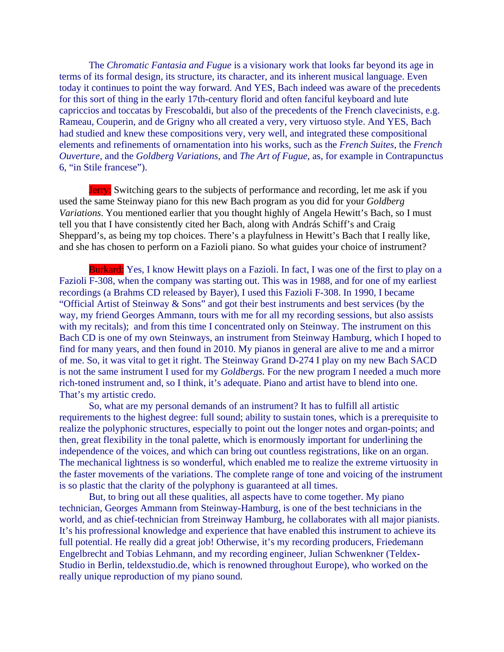The *Chromatic Fantasia and Fugue* is a visionary work that looks far beyond its age in terms of its formal design, its structure, its character, and its inherent musical language. Even today it continues to point the way forward. And YES, Bach indeed was aware of the precedents for this sort of thing in the early 17th-century florid and often fanciful keyboard and lute capriccios and toccatas by Frescobaldi, but also of the precedents of the French clavecinists, e.g. Rameau, Couperin, and de Grigny who all created a very, very virtuoso style. And YES, Bach had studied and knew these compositions very, very well, and integrated these compositional elements and refinements of ornamentation into his works, such as the *French Suites*, the *French Ouverture*, and the *Goldberg Variations,* and *The Art of Fugue*, as, for example in Contrapunctus 6, "in Stile francese").

Jerry: Switching gears to the subjects of performance and recording, let me ask if you used the same Steinway piano for this new Bach program as you did for your *Goldberg Variations*. You mentioned earlier that you thought highly of Angela Hewitt's Bach, so I must tell you that I have consistently cited her Bach, along with András Schiff's and Craig Sheppard's, as being my top choices. There's a playfulness in Hewitt's Bach that I really like, and she has chosen to perform on a Fazioli piano. So what guides your choice of instrument?

Burkard: Yes, I know Hewitt plays on a Fazioli. In fact, I was one of the first to play on a Fazioli F-308, when the company was starting out. This was in 1988, and for one of my earliest recordings (a Brahms CD released by Bayer), I used this Fazioli F-308. In 1990, I became "Official Artist of Steinway & Sons" and got their best instruments and best services (by the way, my friend Georges Ammann, tours with me for all my recording sessions, but also assists with my recitals); and from this time I concentrated only on Steinway. The instrument on this Bach CD is one of my own Steinways, an instrument from Steinway Hamburg, which I hoped to find for many years, and then found in 2010. My pianos in general are alive to me and a mirror of me. So, it was vital to get it right. The Steinway Grand D-274 I play on my new Bach SACD is not the same instrument I used for my *Goldbergs.* For the new program I needed a much more rich-toned instrument and, so I think, it's adequate. Piano and artist have to blend into one. That's my artistic credo.

So, what are my personal demands of an instrument? It has to fulfill all artistic requirements to the highest degree: full sound; ability to sustain tones, which is a prerequisite to realize the polyphonic structures, especially to point out the longer notes and organ-points; and then, great flexibility in the tonal palette, which is enormously important for underlining the independence of the voices, and which can bring out countless registrations, like on an organ. The mechanical lightness is so wonderful, which enabled me to realize the extreme virtuosity in the faster movements of the variations. The complete range of tone and voicing of the instrument is so plastic that the clarity of the polyphony is guaranteed at all times.

But, to bring out all these qualities, all aspects have to come together. My piano technician, Georges Ammann from Steinway-Hamburg, is one of the best technicians in the world, and as chief-technician from Streinway Hamburg, he collaborates with all major pianists. It's his profressional knowledge and experience that have enabled this instrument to achieve its full potential. He really did a great job! Otherwise, it's my recording producers, Friedemann Engelbrecht and Tobias Lehmann, and my recording engineer, Julian Schwenkner (Teldex-Studio in Berlin, teldexstudio.de, which is renowned throughout Europe), who worked on the really unique reproduction of my piano sound.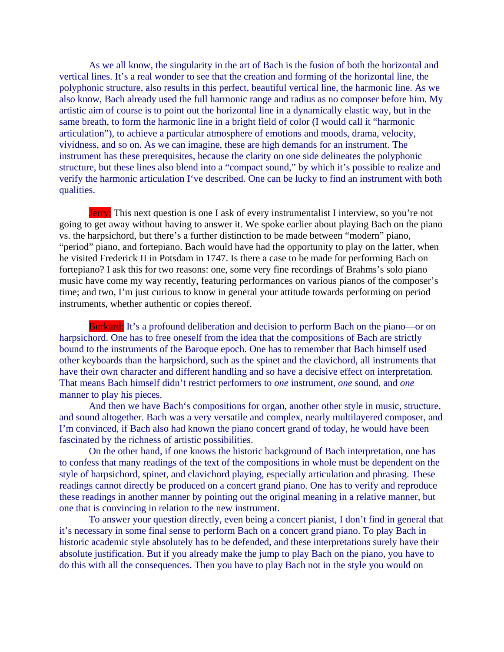As we all know, the singularity in the art of Bach is the fusion of both the horizontal and vertical lines. It's a real wonder to see that the creation and forming of the horizontal line, the polyphonic structure, also results in this perfect, beautiful vertical line, the harmonic line. As we also know, Bach already used the full harmonic range and radius as no composer before him. My artistic aim of course is to point out the horizontal line in a dynamically elastic way, but in the same breath, to form the harmonic line in a bright field of color (I would call it "harmonic articulation"), to achieve a particular atmosphere of emotions and moods, drama, velocity, vividness, and so on. As we can imagine, these are high demands for an instrument. The instrument has these prerequisites, because the clarity on one side delineates the polyphonic structure, but these lines also blend into a "compact sound," by which it's possible to realize and verify the harmonic articulation I've described. One can be lucky to find an instrument with both qualities.

Jerry: This next question is one I ask of every instrumentalist I interview, so you're not going to get away without having to answer it. We spoke earlier about playing Bach on the piano vs. the harpsichord, but there's a further distinction to be made between "modern" piano, "period" piano, and fortepiano. Bach would have had the opportunity to play on the latter, when he visited Frederick II in Potsdam in 1747. Is there a case to be made for performing Bach on fortepiano? I ask this for two reasons: one, some very fine recordings of Brahms's solo piano music have come my way recently, featuring performances on various pianos of the composer's time; and two, I'm just curious to know in general your attitude towards performing on period instruments, whether authentic or copies thereof.

Burkard: It's a profound deliberation and decision to perform Bach on the piano—or on harpsichord. One has to free oneself from the idea that the compositions of Bach are strictly bound to the instruments of the Baroque epoch. One has to remember that Bach himself used other keyboards than the harpsichord, such as the spinet and the clavichord, all instruments that have their own character and different handling and so have a decisive effect on interpretation. That means Bach himself didn't restrict performers to *one* instrument, *one* sound, and *one* manner to play his pieces.

And then we have Bach's compositions for organ, another other style in music, structure, and sound altogether. Bach was a very versatile and complex, nearly multilayered composer, and I'm convinced, if Bach also had known the piano concert grand of today, he would have been fascinated by the richness of artistic possibilities.

On the other hand, if one knows the historic background of Bach interpretation, one has to confess that many readings of the text of the compositions in whole must be dependent on the style of harpsichord, spinet, and clavichord playing, especially articulation and phrasing. These readings cannot directly be produced on a concert grand piano. One has to verify and reproduce these readings in another manner by pointing out the original meaning in a relative manner, but one that is convincing in relation to the new instrument.

To answer your question directly, even being a concert pianist, I don't find in general that it's necessary in some final sense to perform Bach on a concert grand piano. To play Bach in historic academic style absolutely has to be defended, and these interpretations surely have their absolute justification. But if you already make the jump to play Bach on the piano, you have to do this with all the consequences. Then you have to play Bach not in the style you would on